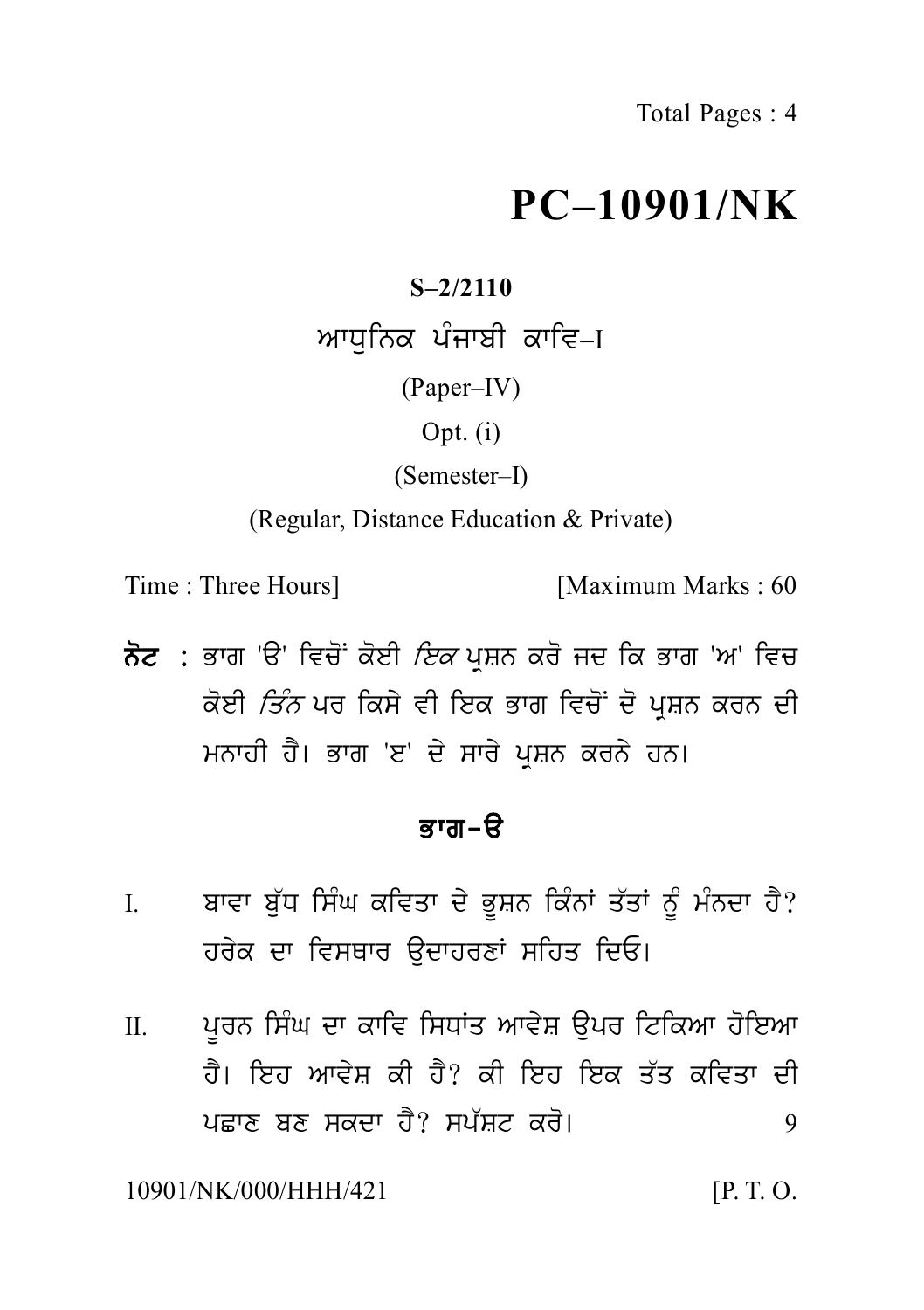# **PC–10901/NK**

# **S–2/2110**

 $PC-1\,09\,01$ s–2/2110<br>ਆਧੁਨਿਕ ਪੰਜਾਬੀ ਕਾਵਿ–I<br>(Paper–IV)<br>Opt. (i) (Paper–IV) Opt. (i) (Semester–I)

(Regular, Distance Education & Private)

Time : Three Hours] [Maximum Marks : 60

(Kegular, Distance Education & Private)<br>Time : Three Hours] [Maximum Marks : 60<br>ਨੋਟ : ਭਾਗ 'ੳ' ਵਿਚੋਂ ਕੋਈ *ਇਕ* ਪ੍ਰਸ਼ਨ ਕਰੋ ਜਦ ਕਿ ਭਾਗ 'ਅ' ਵਿਚ<br>ਕੋਈ *ਤਿੰਨ* ਪਰ ਕਿਸੇ ਵੀ ਇਕ ਭਾਗ ਵਿਚੋਂ ਦੋ ਪ੍ਰਸ਼ਨ ਕਰਨ ਦੀ Three Hours]<br>ਭਾਗ 'ੳ' ਵਿਚੋਂ ਕੋਈ *ਇਕ* ਪ੍ਰਸ਼ਨ ਕਰੋ ਜਦ ਕਿ ਭਾਗ 'ਅ' ਵਿਚ<br>ਕੋਈ *ਤਿੰਨ* ਪਰ ਕਿਸੇ ਵੀ ਇਕ ਭਾਗ ਵਿਚੋਂ ਦੋ ਪ੍ਰਸ਼ਨ ਕਰਨ ਦੀ<br>ਮਨਾਹੀ ਹੈ। ਭਾਗ 'ੲ' ਦੇ ਸਾਰੇ ਪ੍ਰਸ਼ਨ ਕਰਨੇ ਹਨ। ਭਾਗ 'ੳ' ਵਿਚੋਂ ਕੋਈ *ਇਕ* ਪ੍ਰਸ਼ਨ ਕਰੋ ਜਦ ਕਿ ਭਾਗ 'ਅ' ਵਿਚ<br>ਕੋਈ *ਤਿੰਨ* ਪਰ ਕਿਸੇ ਵੀ ਇਕ ਭਾਗ ਵਿਚੋਂ ਦੋ ਪ੍ਰਸ਼ਨ ਕਰਨ ਦੀ<br>ਮਨਾਹੀ ਹੈ। ਭਾਗ 'ੲ' ਦੇ ਸਾਰੇ ਪ੍ਰਸ਼ਨ ਕਰਨੇ ਹਨ।<br>**ਭਾਗ-ੳ** ਕੋਈ *ਤਿੰਨ* ਪਰ ਕਿਸੇ ਵੀ ਇਕ ਭਾਗ ਵਿਚੋਂ ਦੋ ਪ੍ਰਸ਼ਨ ਕਰਨ ਦੀ<br>ਮਨਾਹੀ ਹੈ। ਭਾਗ 'ੲ' ਦੇ ਸਾਰੇ ਪ੍ਰਸ਼ਨ ਕਰਨੇ ਹਨ।<br>ਕਾਗ–ੳ

- I. buvet et e dit de grite <sub>ਸੁ</sub>ਸ਼ਨ ਗੁਰਨਾ ਹਨ।<br>**ਭਾਗ-ੳ**<br>ਹਰੇਕ ਦਾ ਵਿਸਥਾਰ ਉਦਾਹਰਣਾਂ ਸਹਿਤ ਦਿਓ।<br>ਹਰੇਕ ਦਾ ਵਿਸਥਾਰ ਉਦਾਹਰਣਾਂ ਸਹਿਤ ਦਿਓ। ਬਾਵਾ ਬੁੱਧ ਸਿੰਘ ਕਵਿਤਾ ਦੇ ਭੂਸ਼ਨ ਕਿੰਨਾਂ ਤੱਤਾਂ ਨੂੰ ਮੰਨਦਾ ਹੈ?<br>ਹਰੇਕ ਦਾ ਵਿਸਥਾਰ ੳਦਾਹਰਣਾਂ ਸਹਿਤ ਦਿਓ।
- I. ਬਾਵਾ ਬੁੱਧ ਸਿੰਘ ਕਵਿਤਾ ਦੇ ਭੂਸ਼ਨ ਕਿੰਨਾਂ ਤੱਤਾਂ ਨੂੰ ਮੰਨਦਾ ਹੈ?<br>ਹਰੇਕ ਦਾ ਵਿਸਥਾਰ ਉਦਾਹਰਣਾਂ ਸਹਿਤ ਦਿਓ।<br>II. ਪੂਰਨ ਸਿੰਘ ਦਾ ਕਾਵਿ ਸਿਧਾਂਤ ਆਵੇਸ਼ ਉਪਰ ਟਿਕਿਆ ਹੋਇਆ<br>ਹੈ। ਇਹ ਆਵੇਸ਼ ਕੀ ਹੈ? ਕੀ ਇਹ ਇਕ ਤੱਤ ਕਵਿਤਾ ਦੀ<br>ਮਾਲ ਲਾ ਲਾਲਾ ਤੇ? ਸਮੱਲਾ ਕੀ। ਹਰੇਕ ਦਾ ਵਿਸਥਾਰ ਉਦਾਹਰਣਾਂ ਸਹਿਤ ਦਿਓ।<br>ਪੂਰਨ ਸਿੰਘ ਦਾ ਕਾਵਿ ਸਿਧਾਂਤ ਆਵੇਸ਼ ਉਪਰ ਟਿਕਿਆ ਹੋਇਆ<br>ਹੈ। ਇਹ ਆਵੇਸ਼ ਕੀ ਹੈ? ਕੀ ਇਹ ਇਕ ਤੱਤ ਕਵਿਤਾ ਦੀ<br>ਪਛਾਣ ਬਣ ਸਕਦਾ ਹੈ? ਸਪੱਸ਼ਟ ਕਰੋ। pCwx bx skdw h Y? sp `St kr o[ <sup>9</sup>

10901/NK/000/HHH/421 [P. T. O.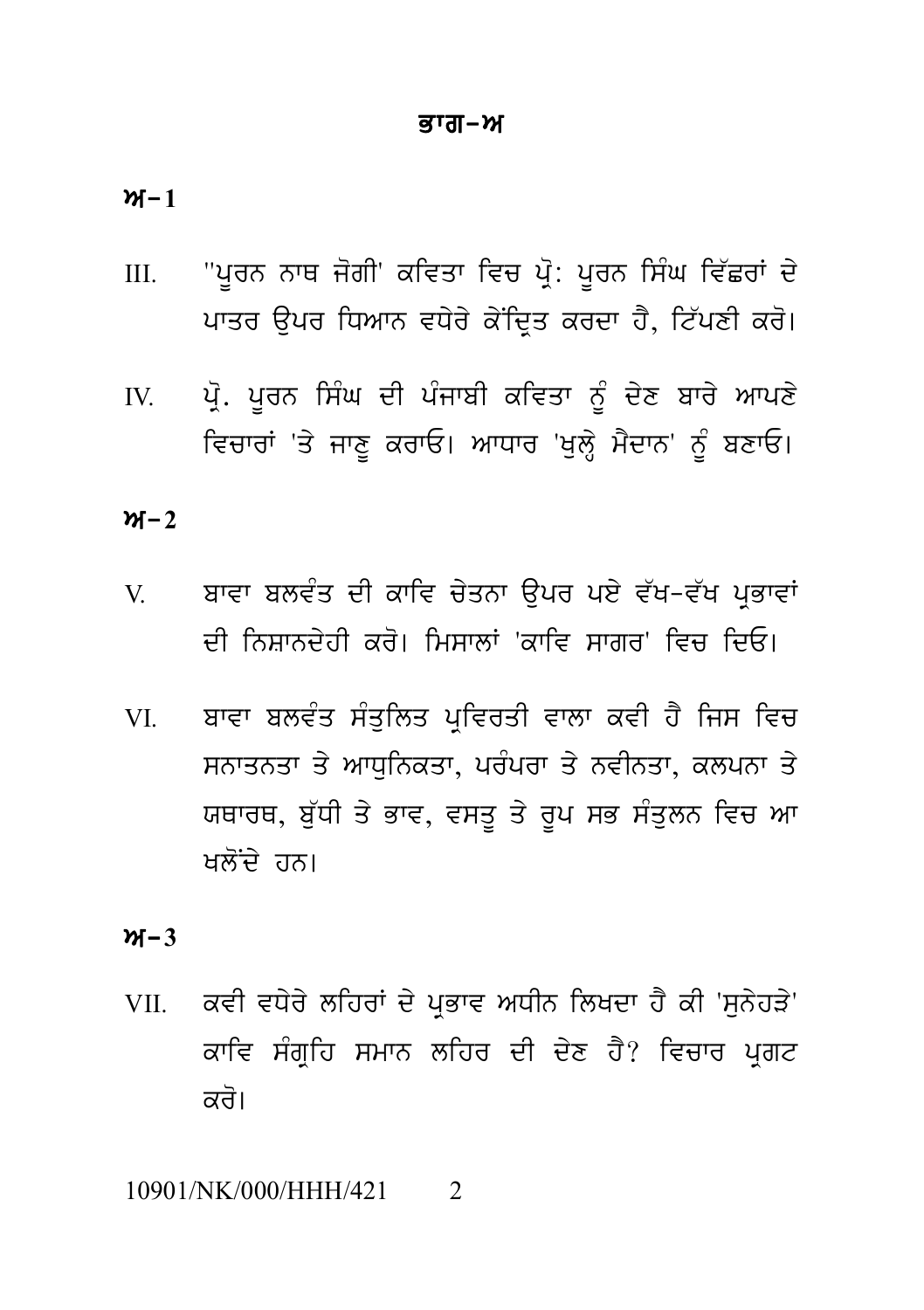#### ਭਾਗ–ਅ

 $M-1$ 

- "ਪੂਰਨ ਨਾਥ ਜੋਗੀ' ਕਵਿਤਾ ਵਿਚ ਪ੍ਰੋ: ਪੂਰਨ ਸਿੰਘ ਵਿੱਛਰਾਂ ਦੇ  $III.$ ਪਾਤਰ ਉਪਰ ਧਿਆਨ ਵਧੇਰੇ ਕੇਂਦਿਤ ਕਰਦਾ ਹੈ, ਟਿੱਪਣੀ ਕਰੋ।
- ਪ੍ਰੋ. ਪੂਰਨ ਸਿੰਘ ਦੀ ਪੰਜਾਬੀ ਕਵਿਤਾ ਨੂੰ ਦੇਣ ਬਾਰੇ ਆਪਣੇ IV. ਵਿਚਾਰਾਂ 'ਤੇ ਜਾਣੂ ਕਰਾਓ। ਆਧਾਰ 'ਖੁਲ੍ਹੇ ਮੈਦਾਨ' ਨੂੰ ਬਣਾਓ।

## $M-2$

- ਬਾਵਾ ਬਲਵੰਤ ਦੀ ਕਾਵਿ ਚੇਤਨਾ ਉਪਰ ਪਏ ਵੱਖ-ਵੱਖ ਪਭਾਵਾਂ  $V_{\cdot}$ ਦੀ ਨਿਸ਼ਾਨਦੇਹੀ ਕਰੋ। ਮਿਸਾਲਾਂ 'ਕਾਵਿ ਸਾਗਰ' ਵਿਚ ਦਿਓ।
- ਬਾਵਾ ਬਲਵੰਤ ਸੰਤਲਿਤ ਪਵਿਰਤੀ ਵਾਲਾ ਕਵੀ ਹੈ ਜਿਸ ਵਿਚ **VI** ਸਨਾਤਨਤਾ ਤੇ ਆਧਨਿਕਤਾ, ਪਰੰਪਰਾ ਤੇ ਨਵੀਨਤਾ, ਕਲਪਨਾ ਤੇ ਯਥਾਰਥ, ਬੱਧੀ ਤੇ ਭਾਵ, ਵਸਤ ਤੇ ਰਪ ਸਭ ਸੰਤਲਨ ਵਿਚ ਆ ਖਲੋਂਦੇ ਹਨ।

## $M-3$

ਕਵੀ ਵਧੇਰੇ ਲਹਿਰਾਂ ਦੇ ਪਭਾਵ ਅਧੀਨ ਲਿਖਦਾ ਹੈ ਕੀ 'ਸਨੇਹੜੇ' VII. ਕਾਵਿ ਸੰਗੁਹਿ ਸਮਾਨ ਲਹਿਰ ਦੀ ਦੇਣ ਹੈ? ਵਿਚਾਰ ਪੁਗਟ ਕਰੋ।

#### 10901/NK/000/HHH/421  $\mathcal{D}_{\alpha}$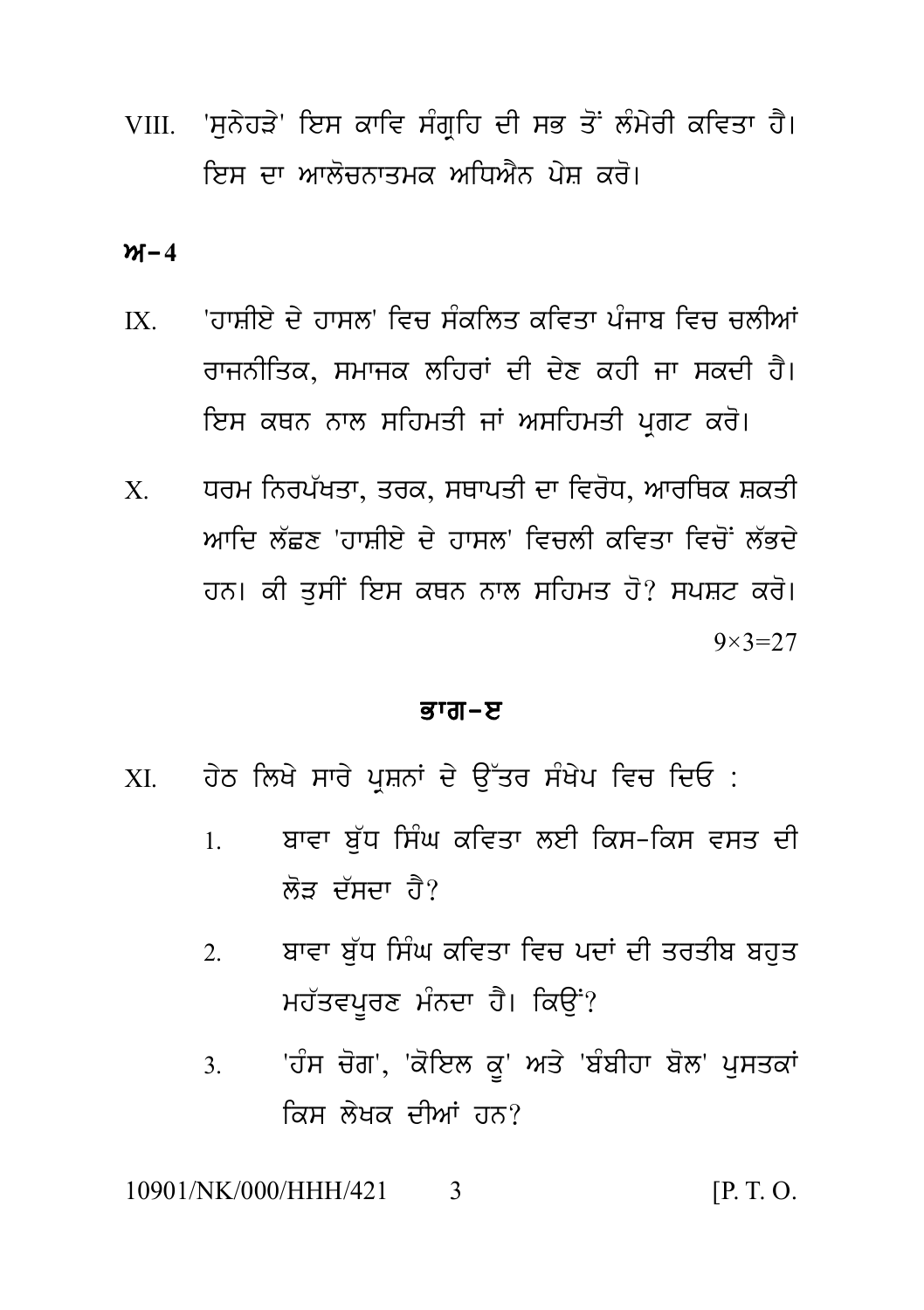VIII. 'ਸਨੇਹੜੇ' ਇਸ ਕਾਵਿ ਸੰਗਹਿ ਦੀ ਸਭ ਤੋਂ ਲੰਮੇਰੀ ਕਵਿਤਾ ਹੈ। ਇਸ ਦਾ ਆਲੋਚਨਾਤਮਕ ਅਧਿਐਨ ਪੇਸ਼ ਕਰੋ।

 $M - 4$ 

- 'ਹਾਸੀਏ ਦੇ ਹਾਸਲ' ਵਿਚ ਸੰਕੁਲਿਤ ਕਵਿਤਾ ਪੰਜਾਬ ਵਿਚ ਚਲੀਆਂ  $IX$ ਰਾਜਨੀਤਿਕ, ਸਮਾਜਕ ਲਹਿਰਾਂ ਦੀ ਦੇਣ ਕਹੀ ਜਾ ਸਕਦੀ ਹੈ। ਇਸ ਕਥਨ ਨਾਲ ਸਹਿਮਤੀ ਜਾਂ ਅਸਹਿਮਤੀ ਪਗਟ ਕਰੋ।
- ਧਰਮ ਨਿਰਪੱਖਤਾ, ਤਰਕ, ਸਥਾਪਤੀ ਦਾ ਵਿਰੋਧ, ਆਰਥਿਕ ਸ਼ਕਤੀ  $X$ ਆਦਿ ਲੱਵਣ 'ਹਾਸੀਏ ਦੇ ਹਾਸਲ' ਵਿਜਲੀ ਕਵਿਤਾ ਵਿਜੋਂ ਲੱਕਦੇ ਹਨ। ਕੀ ਤਸੀਂ ਇਸ ਕਥਨ ਨਾਲ ਸਹਿਮਤ ਹੋ? ਸਪਸ਼ਟ ਕਰੋ।  $9 \times 3 = 27$

#### ਭਾਗ–ੲ

- ਹੇਠ ਲਿਖੇ ਸਾਰੇ ਪਸ਼ਨਾਂ ਦੇ ਉੱਤਰ ਸੰਖੇਪ ਵਿਚ ਦਿਓ :  $X<sub>I</sub>$ 
	- ਬਾਵਾ ਬੱਧ ਸਿੰਘ ਕਵਿਤਾ ਲਈ ਕਿਸ-ਕਿਸ ਵਸਤ ਦੀ  $\mathbf{1}$ . ਲੋਤ ਦੱਸਦਾ ਹੈ?
	- ਬਾਵਾ ਬੱਧ ਸਿੰਘ ਕਵਿਤਾ ਵਿਚ ਪਦਾਂ ਦੀ ਤਰਤੀਬ ਬਹਤ  $\overline{2}$ ਮਹੱਤਵਪਰਣ ਮੰਨਦਾ ਹੈ। ਕਿੳਂ?
	- 'ਹੰਸ ਚੋਗ', 'ਕੋਇਲ ਕੁ' ਅਤੇ 'ਬੰਬੀਹਾ ਬੋਲ' ਪਸਤਕਾਂ  $3<sub>1</sub>$ ਕਿਸ ਲੇਖਕ ਦੀਆਂ ਹਨ?

10901/NK/000/HHH/421  $[P, T, O]$  $\mathbf{3}$